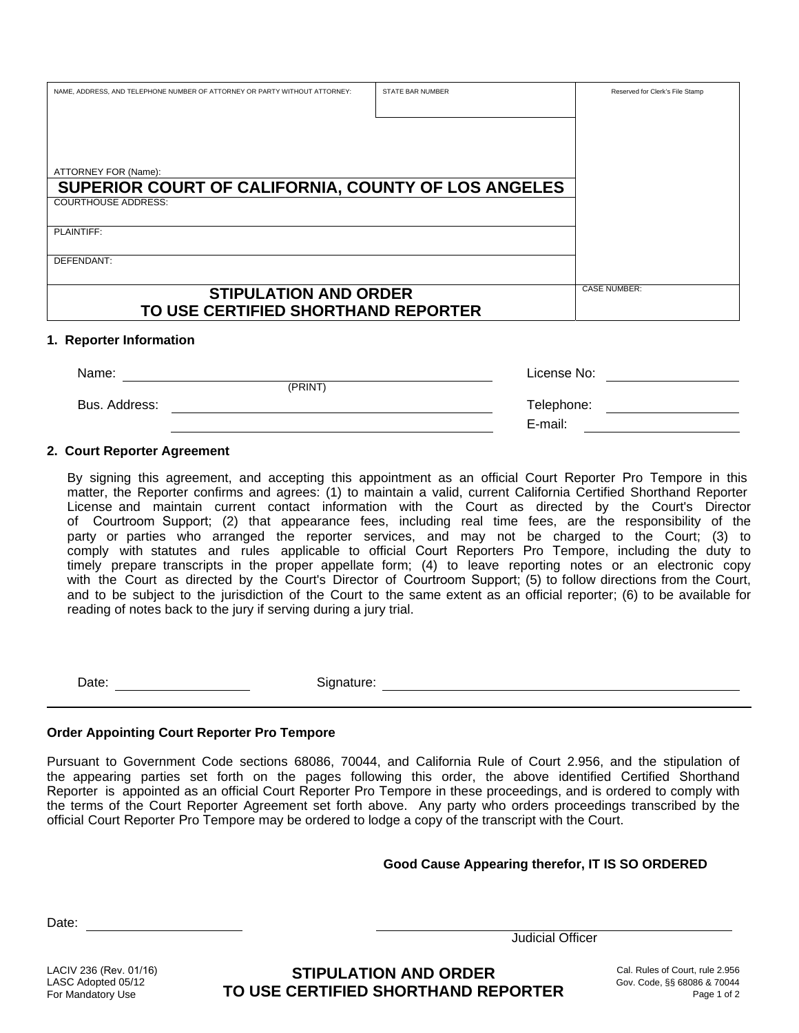| NAME, ADDRESS, AND TELEPHONE NUMBER OF ATTORNEY OR PARTY WITHOUT ATTORNEY: | <b>STATE BAR NUMBER</b> | Reserved for Clerk's File Stamp |
|----------------------------------------------------------------------------|-------------------------|---------------------------------|
|                                                                            |                         |                                 |
|                                                                            |                         |                                 |
|                                                                            |                         |                                 |
| ATTORNEY FOR (Name):                                                       |                         |                                 |
| SUPERIOR COURT OF CALIFORNIA, COUNTY OF LOS ANGELES                        |                         |                                 |
| <b>COURTHOUSE ADDRESS:</b>                                                 |                         |                                 |
| PLAINTIFF:                                                                 |                         |                                 |
|                                                                            |                         |                                 |
| DEFENDANT:                                                                 |                         |                                 |
|                                                                            |                         |                                 |
| <b>STIPULATION AND ORDER</b>                                               |                         | <b>CASE NUMBER:</b>             |
| TO USE CERTIFIED SHORTHAND REPORTER                                        |                         |                                 |

## **1. Reporter Information**

| Name:         |         | License No: |
|---------------|---------|-------------|
|               | (PRINT) |             |
| Bus. Address: |         | Telephone:  |
|               |         | E-mail:     |

## **2. Court Reporter Agreement**

By signing this agreement, and accepting this appointment as an official Court Reporter Pro Tempore in this matter, the Reporter confirms and agrees: (1) to maintain a valid, current California Certified Shorthand Reporter License and maintain current contact information with the Court as directed by the Court's Director of Courtroom Support; (2) that appearance fees, including real time fees, are the responsibility of the party or parties who arranged the reporter services, and may not be charged to the Court; (3) to comply with statutes and rules applicable to official Court Reporters Pro Tempore, including the duty to timely prepare transcripts in the proper appellate form; (4) to leave reporting notes or an electronic copy with the Court as directed by the Court's Director of Courtroom Support; (5) to follow directions from the Court, and to be subject to the jurisdiction of the Court to the same extent as an official reporter; (6) to be available for reading of notes back to the jury if serving during a jury trial.

Date: Signature: Signature: Signature: Signature: Signature: Signature: Signature: Signature: Signature: Signature: Signature: Signature: Signature: Signature: Signature: Signature: Signature: Signature: Signature: Signatu

## **Order Appointing Court Reporter Pro Tempore**

Pursuant to Government Code sections 68086, 70044, and California Rule of Court 2.956, and the stipulation of the appearing parties set forth on the pages following this order, the above identified Certified Shorthand Reporter is appointed as an official Court Reporter Pro Tempore in these proceedings, and is ordered to comply with the terms of the Court Reporter Agreement set forth above. Any party who orders proceedings transcribed by the official Court Reporter Pro Tempore may be ordered to lodge a copy of the transcript with the Court.

**Good Cause Appearing therefor, IT IS SO ORDERED** 

Date:

Judicial Officer

LACIV 236 (Rev. 01/16) LASC Adopted 05/12 For Mandatory Use

Gal. Rules of Court, rule 2.956<br> **STIPULATION AND ORDER** Gov. Code, §§ 68086 & 70044 **TO USE CERTIFIED SHORTHAND REPORTER** Page 1 of 2

Cal. Rules of Court, rule 2.956